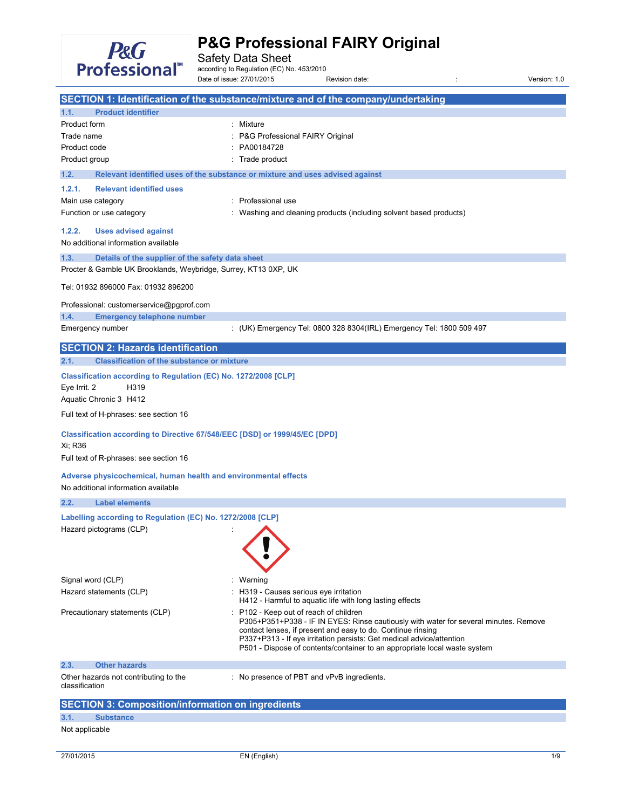

Safety Data Sheet<br>according to Regulation (EC) No. 453/2010

Date of issue: 27/01/2015 Revision date: in the state of issue: 27/01/2015 Revision date:

|                                                                                                        | SECTION 1: Identification of the substance/mixture and of the company/undertaking                                                                                                                                                                                                                                                                |
|--------------------------------------------------------------------------------------------------------|--------------------------------------------------------------------------------------------------------------------------------------------------------------------------------------------------------------------------------------------------------------------------------------------------------------------------------------------------|
| <b>Product identifier</b><br>1.1.                                                                      |                                                                                                                                                                                                                                                                                                                                                  |
| Product form                                                                                           | : Mixture                                                                                                                                                                                                                                                                                                                                        |
| Trade name                                                                                             | P&G Professional FAIRY Original                                                                                                                                                                                                                                                                                                                  |
| Product code                                                                                           | PA00184728                                                                                                                                                                                                                                                                                                                                       |
| Product group                                                                                          | Trade product                                                                                                                                                                                                                                                                                                                                    |
| 1.2.                                                                                                   | Relevant identified uses of the substance or mixture and uses advised against                                                                                                                                                                                                                                                                    |
| 1.2.1.<br><b>Relevant identified uses</b>                                                              |                                                                                                                                                                                                                                                                                                                                                  |
| Main use category                                                                                      | : Professional use                                                                                                                                                                                                                                                                                                                               |
| Function or use category                                                                               | Washing and cleaning products (including solvent based products)                                                                                                                                                                                                                                                                                 |
| 1.2.2.<br><b>Uses advised against</b><br>No additional information available                           |                                                                                                                                                                                                                                                                                                                                                  |
| Details of the supplier of the safety data sheet<br>1.3.                                               |                                                                                                                                                                                                                                                                                                                                                  |
| Procter & Gamble UK Brooklands, Weybridge, Surrey, KT13 0XP, UK                                        |                                                                                                                                                                                                                                                                                                                                                  |
| Tel: 01932 896000 Fax: 01932 896200                                                                    |                                                                                                                                                                                                                                                                                                                                                  |
| Professional: customerservice@pgprof.com                                                               |                                                                                                                                                                                                                                                                                                                                                  |
| 1.4.<br><b>Emergency telephone number</b>                                                              |                                                                                                                                                                                                                                                                                                                                                  |
| Emergency number                                                                                       | : (UK) Emergency Tel: 0800 328 8304(IRL) Emergency Tel: 1800 509 497                                                                                                                                                                                                                                                                             |
| <b>SECTION 2: Hazards identification</b>                                                               |                                                                                                                                                                                                                                                                                                                                                  |
| <b>Classification of the substance or mixture</b><br>2.1.                                              |                                                                                                                                                                                                                                                                                                                                                  |
| Classification according to Regulation (EC) No. 1272/2008 [CLP]                                        |                                                                                                                                                                                                                                                                                                                                                  |
| Eye Irrit. 2<br>H319                                                                                   |                                                                                                                                                                                                                                                                                                                                                  |
| Aquatic Chronic 3 H412                                                                                 |                                                                                                                                                                                                                                                                                                                                                  |
| Full text of H-phrases: see section 16                                                                 |                                                                                                                                                                                                                                                                                                                                                  |
| Classification according to Directive 67/548/EEC [DSD] or 1999/45/EC [DPD]<br>Xi; R36                  |                                                                                                                                                                                                                                                                                                                                                  |
| Full text of R-phrases: see section 16                                                                 |                                                                                                                                                                                                                                                                                                                                                  |
|                                                                                                        |                                                                                                                                                                                                                                                                                                                                                  |
| Adverse physicochemical, human health and environmental effects<br>No additional information available |                                                                                                                                                                                                                                                                                                                                                  |
| 2.2.<br><b>Label elements</b>                                                                          |                                                                                                                                                                                                                                                                                                                                                  |
| Labelling according to Regulation (EC) No. 1272/2008 [CLP]                                             |                                                                                                                                                                                                                                                                                                                                                  |
| Hazard pictograms (CLP)                                                                                |                                                                                                                                                                                                                                                                                                                                                  |
|                                                                                                        |                                                                                                                                                                                                                                                                                                                                                  |
| Signal word (CLP)                                                                                      | Warning                                                                                                                                                                                                                                                                                                                                          |
| Hazard statements (CLP)                                                                                | H319 - Causes serious eye irritation<br>H412 - Harmful to aquatic life with long lasting effects                                                                                                                                                                                                                                                 |
| Precautionary statements (CLP)                                                                         | P102 - Keep out of reach of children<br>P305+P351+P338 - IF IN EYES: Rinse cautiously with water for several minutes. Remove<br>contact lenses, if present and easy to do. Continue rinsing<br>P337+P313 - If eye irritation persists: Get medical advice/attention<br>P501 - Dispose of contents/container to an appropriate local waste system |
| <b>Other hazards</b><br>2.3.                                                                           |                                                                                                                                                                                                                                                                                                                                                  |
| Other hazards not contributing to the<br>classification                                                | : No presence of PBT and vPvB ingredients.                                                                                                                                                                                                                                                                                                       |
| <b>SECTION 3: Composition/information on ingredients</b>                                               |                                                                                                                                                                                                                                                                                                                                                  |
| 3.1.<br><b>Substance</b>                                                                               |                                                                                                                                                                                                                                                                                                                                                  |
| Not applicable                                                                                         |                                                                                                                                                                                                                                                                                                                                                  |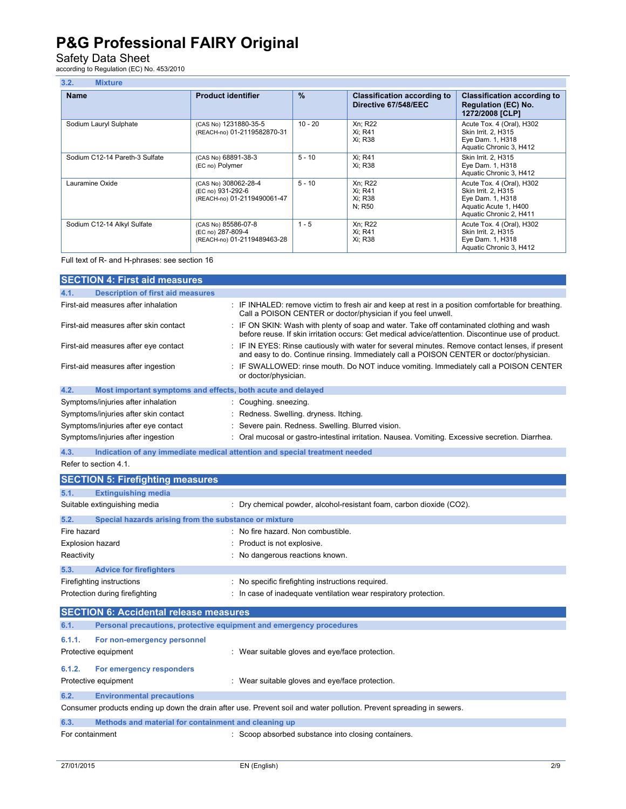## Safety Data Sheet<br>according to Regulation (EC) No. 453/2010

| 3.2.<br><b>Mixture</b>         |                                                                          |               |                                                            |                                                                                                                          |  |
|--------------------------------|--------------------------------------------------------------------------|---------------|------------------------------------------------------------|--------------------------------------------------------------------------------------------------------------------------|--|
| <b>Name</b>                    | <b>Product identifier</b>                                                | $\frac{9}{6}$ | <b>Classification according to</b><br>Directive 67/548/EEC | <b>Classification according to</b><br><b>Regulation (EC) No.</b><br>1272/2008 [CLP]                                      |  |
| Sodium Lauryl Sulphate         | (CAS No) 1231880-35-5<br>(REACH-no) 01-2119582870-31                     | $10 - 20$     | Xn; R22<br>Xi; R41<br>Xi: R38                              | Acute Tox. 4 (Oral), H302<br>Skin Irrit. 2, H315<br>Eye Dam. 1, H318<br>Aquatic Chronic 3, H412                          |  |
| Sodium C12-14 Pareth-3 Sulfate | (CAS No) 68891-38-3<br>(EC no) Polymer                                   | $5 - 10$      | Xi: R41<br>Xi: R38                                         | Skin Irrit. 2. H315<br>Eye Dam. 1, H318<br>Aquatic Chronic 3, H412                                                       |  |
| Lauramine Oxide                | (CAS No) 308062-28-4<br>(EC no) 931-292-6<br>(REACH-no) 01-2119490061-47 | $5 - 10$      | Xn; R22<br>Xi: R41<br>Xi; R38<br>N: R50                    | Acute Tox. 4 (Oral), H302<br>Skin Irrit. 2, H315<br>Eye Dam. 1, H318<br>Aquatic Acute 1, H400<br>Aquatic Chronic 2, H411 |  |
| Sodium C12-14 Alkyl Sulfate    | (CAS No) 85586-07-8<br>(EC no) 287-809-4<br>(REACH-no) 01-2119489463-28  | $1 - 5$       | Xn; R22<br>Xi; R41<br>Xi; R38                              | Acute Tox. 4 (Oral), H302<br>Skin Irrit. 2, H315<br>Eye Dam. 1, H318<br>Aquatic Chronic 3, H412                          |  |

Full text of R- and H-phrases: see section 16

| <b>SECTION 4: First aid measures</b>                                        |                                                                                                                                                                                                 |
|-----------------------------------------------------------------------------|-------------------------------------------------------------------------------------------------------------------------------------------------------------------------------------------------|
| <b>Description of first aid measures</b><br>4.1.                            |                                                                                                                                                                                                 |
| First-aid measures after inhalation                                         | IF INHALED: remove victim to fresh air and keep at rest in a position comfortable for breathing.<br>Call a POISON CENTER or doctor/physician if you feel unwell.                                |
| First-aid measures after skin contact                                       | : IF ON SKIN: Wash with plenty of soap and water. Take off contaminated clothing and wash<br>before reuse. If skin irritation occurs: Get medical advice/attention. Discontinue use of product. |
| First-aid measures after eye contact                                        | IF IN EYES: Rinse cautiously with water for several minutes. Remove contact lenses, if present<br>÷<br>and easy to do. Continue rinsing. Immediately call a POISON CENTER or doctor/physician.  |
| First-aid measures after ingestion                                          | IF SWALLOWED: rinse mouth. Do NOT induce vomiting. Immediately call a POISON CENTER<br>or doctor/physician.                                                                                     |
| 4.2.<br>Most important symptoms and effects, both acute and delayed         |                                                                                                                                                                                                 |
| Symptoms/injuries after inhalation                                          | Coughing. sneezing.                                                                                                                                                                             |
| Symptoms/injuries after skin contact                                        | Redness. Swelling. dryness. Itching.                                                                                                                                                            |
| Symptoms/injuries after eye contact                                         | Severe pain. Redness. Swelling. Blurred vision.                                                                                                                                                 |
| Symptoms/injuries after ingestion                                           | Oral mucosal or gastro-intestinal irritation. Nausea. Vomiting. Excessive secretion. Diarrhea.                                                                                                  |
| 4.3.                                                                        | Indication of any immediate medical attention and special treatment needed                                                                                                                      |
| Refer to section 4.1.                                                       |                                                                                                                                                                                                 |
| <b>SECTION 5: Firefighting measures</b>                                     |                                                                                                                                                                                                 |
| <b>Extinguishing media</b><br>5.1.                                          |                                                                                                                                                                                                 |
| Suitable extinguishing media                                                | : Dry chemical powder, alcohol-resistant foam, carbon dioxide (CO2).                                                                                                                            |
| 5.2.<br>Special hazards arising from the substance or mixture               |                                                                                                                                                                                                 |
| Fire hazard                                                                 | No fire hazard. Non combustible.                                                                                                                                                                |
| <b>Explosion hazard</b>                                                     | Product is not explosive.                                                                                                                                                                       |
| Reactivity                                                                  | No dangerous reactions known.                                                                                                                                                                   |
| 5.3.<br><b>Advice for firefighters</b>                                      |                                                                                                                                                                                                 |
| Firefighting instructions                                                   | No specific firefighting instructions required.                                                                                                                                                 |
| Protection during firefighting                                              | In case of inadequate ventilation wear respiratory protection.                                                                                                                                  |
| <b>SECTION 6: Accidental release measures</b>                               |                                                                                                                                                                                                 |
| 6.1.<br>Personal precautions, protective equipment and emergency procedures |                                                                                                                                                                                                 |
| 6.1.1.<br>For non-emergency personnel                                       |                                                                                                                                                                                                 |
| Protective equipment                                                        | : Wear suitable gloves and eye/face protection.                                                                                                                                                 |
| 6.1.2.<br>For emergency responders                                          |                                                                                                                                                                                                 |
| Protective equipment                                                        | : Wear suitable gloves and eye/face protection.                                                                                                                                                 |
| <b>Environmental precautions</b><br>6.2.                                    |                                                                                                                                                                                                 |
|                                                                             | Consumer products ending up down the drain after use. Prevent soil and water pollution. Prevent spreading in sewers.                                                                            |

#### **6.3. Methods and material for containment and cleaning up**  For containment  $\qquad \qquad : \qquad \qquad$  Scoop absorbed substance into closing containers.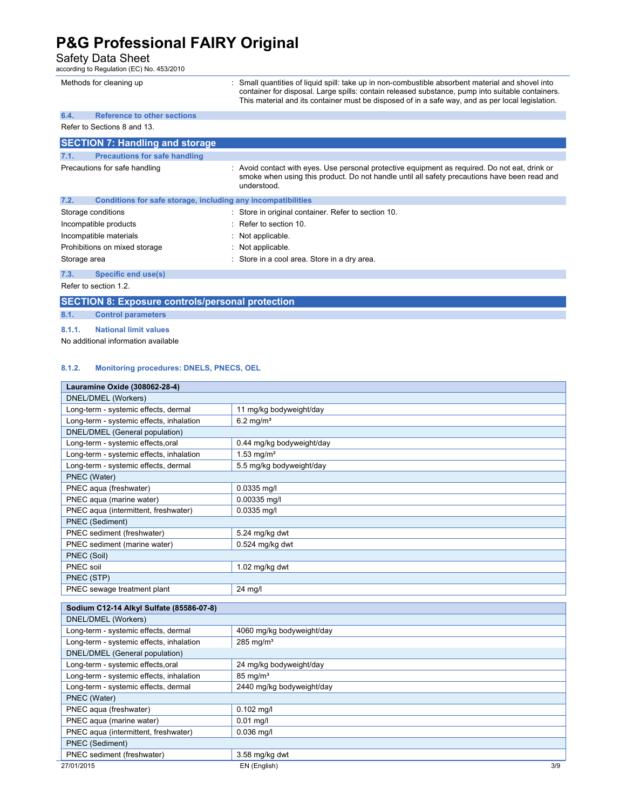### Safety Data Sheet<br>according to Regulation (EC) No. 453/2010

|              | Methods for cleaning up                                      | Small quantities of liquid spill: take up in non-combustible absorbent material and shovel into<br>container for disposal. Large spills: contain released substance, pump into suitable containers.<br>This material and its container must be disposed of in a safe way, and as per local legislation. |
|--------------|--------------------------------------------------------------|---------------------------------------------------------------------------------------------------------------------------------------------------------------------------------------------------------------------------------------------------------------------------------------------------------|
| 6.4.         | <b>Reference to other sections</b>                           |                                                                                                                                                                                                                                                                                                         |
|              | Refer to Sections 8 and 13.                                  |                                                                                                                                                                                                                                                                                                         |
|              | <b>SECTION 7: Handling and storage</b>                       |                                                                                                                                                                                                                                                                                                         |
| 7.1.         | <b>Precautions for safe handling</b>                         |                                                                                                                                                                                                                                                                                                         |
|              | Precautions for safe handling                                | : Avoid contact with eyes. Use personal protective equipment as required. Do not eat, drink or<br>smoke when using this product. Do not handle until all safety precautions have been read and<br>understood.                                                                                           |
| 7.2.         | Conditions for safe storage, including any incompatibilities |                                                                                                                                                                                                                                                                                                         |
|              | Storage conditions                                           | : Store in original container. Refer to section 10.                                                                                                                                                                                                                                                     |
|              | Incompatible products                                        | Refer to section 10.                                                                                                                                                                                                                                                                                    |
|              | Incompatible materials                                       | : Not applicable.                                                                                                                                                                                                                                                                                       |
|              | Prohibitions on mixed storage                                | : Not applicable.                                                                                                                                                                                                                                                                                       |
| Storage area |                                                              | : Store in a cool area. Store in a dry area.                                                                                                                                                                                                                                                            |
| 7.3.         | Specific end use(s)                                          |                                                                                                                                                                                                                                                                                                         |
|              | Refer to section 1.2.                                        |                                                                                                                                                                                                                                                                                                         |

**SECTION 8: Exposure controls/personal protection 8.1. Control parameters** 

**8.1.1. National limit values** 

L

No additional information available

#### **8.1.2. Monitoring procedures: DNELS, PNECS, OEL**

| Lauramine Oxide (308062-28-4)            |                           |     |
|------------------------------------------|---------------------------|-----|
| DNEL/DMEL (Workers)                      |                           |     |
| Long-term - systemic effects, dermal     | 11 mg/kg bodyweight/day   |     |
| Long-term - systemic effects, inhalation | $6.2$ mg/m <sup>3</sup>   |     |
| DNEL/DMEL (General population)           |                           |     |
| Long-term - systemic effects, oral       | 0.44 mg/kg bodyweight/day |     |
| Long-term - systemic effects, inhalation | 1.53 mg/ $m^3$            |     |
| Long-term - systemic effects, dermal     | 5.5 mg/kg bodyweight/day  |     |
| PNEC (Water)                             |                           |     |
| PNEC aqua (freshwater)                   | 0.0335 mg/l               |     |
| PNEC aqua (marine water)                 | 0.00335 mg/l              |     |
| PNEC aqua (intermittent, freshwater)     | 0.0335 mg/l               |     |
| PNEC (Sediment)                          |                           |     |
| PNEC sediment (freshwater)               | 5.24 mg/kg dwt            |     |
| PNEC sediment (marine water)             | $0.524$ mg/kg dwt         |     |
| PNEC (Soil)                              |                           |     |
| PNEC soil                                | 1.02 mg/kg dwt            |     |
| PNEC (STP)                               |                           |     |
| PNEC sewage treatment plant              | 24 mg/l                   |     |
|                                          |                           |     |
| Sodium C12-14 Alkyl Sulfate (85586-07-8) |                           |     |
| DNEL/DMEL (Workers)                      |                           |     |
| Long-term - systemic effects, dermal     | 4060 mg/kg bodyweight/day |     |
| Long-term - systemic effects, inhalation | $285$ mg/m <sup>3</sup>   |     |
| DNEL/DMEL (General population)           |                           |     |
| Long-term - systemic effects, oral       | 24 mg/kg bodyweight/day   |     |
| Long-term - systemic effects, inhalation | $85 \text{ mg/m}^3$       |     |
| Long-term - systemic effects, dermal     | 2440 mg/kg bodyweight/day |     |
| PNEC (Water)                             |                           |     |
| PNEC aqua (freshwater)                   | $0.102$ mg/l              |     |
| PNEC aqua (marine water)                 | $0.01$ mg/l               |     |
| PNEC aqua (intermittent, freshwater)     | $0.036$ mg/l              |     |
| PNEC (Sediment)                          |                           |     |
| PNEC sediment (freshwater)               | 3.58 mg/kg dwt            |     |
| 27/01/2015                               | EN (English)              | 3/9 |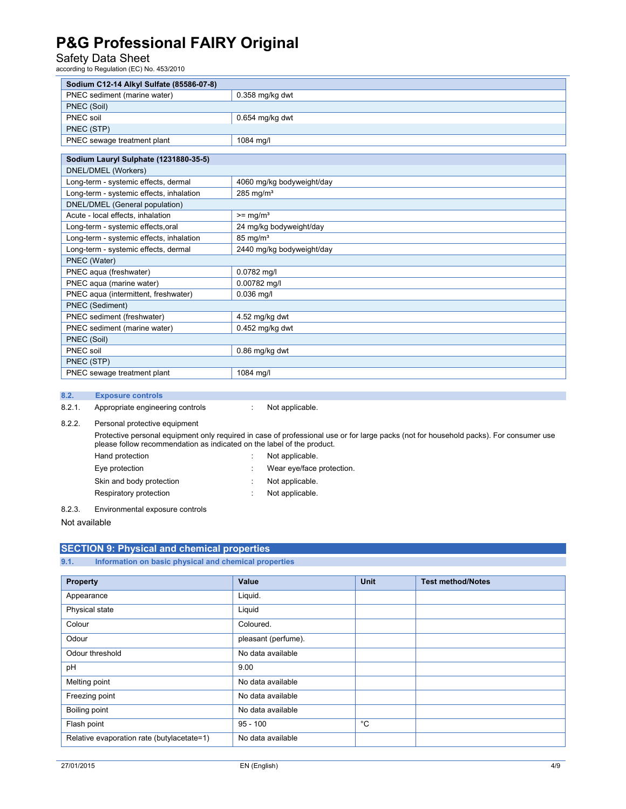### Safety Data Sheet<br>according to Regulation (EC) No. 453/2010

| Sodium C12-14 Alkyl Sulfate (85586-07-8) |                           |
|------------------------------------------|---------------------------|
| PNEC sediment (marine water)             | 0.358 mg/kg dwt           |
| PNEC (Soil)                              |                           |
| PNEC soil                                | 0.654 mg/kg dwt           |
| PNEC (STP)                               |                           |
| PNEC sewage treatment plant              | 1084 mg/l                 |
|                                          |                           |
| Sodium Lauryl Sulphate (1231880-35-5)    |                           |
| DNEL/DMEL (Workers)                      |                           |
| Long-term - systemic effects, dermal     | 4060 mg/kg bodyweight/day |
| Long-term - systemic effects, inhalation | 285 mg/ $m3$              |
| DNEL/DMEL (General population)           |                           |
| Acute - local effects, inhalation        | $>=$ mg/m <sup>3</sup>    |
| Long-term - systemic effects, oral       | 24 mg/kg bodyweight/day   |
| Long-term - systemic effects, inhalation | $85 \text{ mg/m}^3$       |
| Long-term - systemic effects, dermal     | 2440 mg/kg bodyweight/day |
| PNEC (Water)                             |                           |
| PNEC aqua (freshwater)                   | 0.0782 mg/l               |
| PNEC aqua (marine water)                 | 0.00782 mg/l              |
| PNEC aqua (intermittent, freshwater)     | $0.036$ mg/l              |
| PNEC (Sediment)                          |                           |
| PNEC sediment (freshwater)               | 4.52 mg/kg dwt            |
| PNEC sediment (marine water)             | $0.452$ mg/kg dwt         |
| PNEC (Soil)                              |                           |
| PNEC soil                                | 0.86 mg/kg dwt            |
| PNEC (STP)                               |                           |
| PNEC sewage treatment plant              | 1084 mg/l                 |

#### **8.2. Exposure controls**

8.2.1. Appropriate engineering controls : Not applicable.

8.2.2. Personal protective equipment

 Protective personal equipment only required in case of professional use or for large packs (not for household packs). For consumer use please follow recommendation as indicated on the label of the product. Hand protection in the set of the set of the Not applicable.

- Eye protection  $\qquad \qquad : \qquad \text{Wear eye/face protection}.$ Skin and body protection : Not applicable. Respiratory protection in the set of the Not applicable.
- 8.2.3. Environmental exposure controls

Not available

#### **SECTION 9: Physical and chemical properties**

**9.1. Information on basic physical and chemical properties** 

| <b>Property</b>                            | Value               | <b>Unit</b>  | <b>Test method/Notes</b> |
|--------------------------------------------|---------------------|--------------|--------------------------|
| Appearance                                 | Liquid.             |              |                          |
| Physical state                             | Liquid              |              |                          |
| Colour                                     | Coloured.           |              |                          |
| Odour                                      | pleasant (perfume). |              |                          |
| Odour threshold                            | No data available   |              |                          |
| pH                                         | 9.00                |              |                          |
| Melting point                              | No data available   |              |                          |
| Freezing point                             | No data available   |              |                          |
| Boiling point                              | No data available   |              |                          |
| Flash point                                | $95 - 100$          | $^{\circ}$ C |                          |
| Relative evaporation rate (butylacetate=1) | No data available   |              |                          |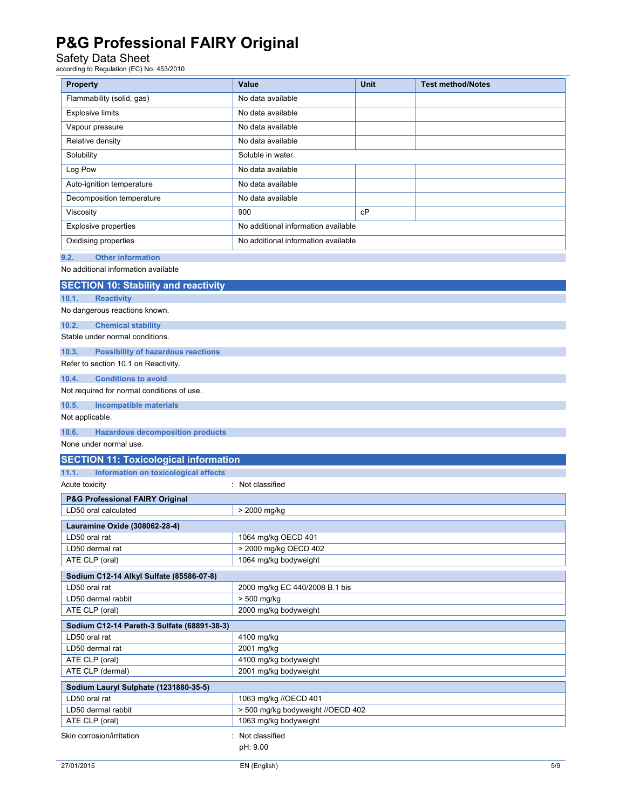### Safety Data Sheet<br>according to Regulation (EC) No. 453/2010

| <b>Property</b>                                                            | Value                                                      | Unit | <b>Test method/Notes</b> |
|----------------------------------------------------------------------------|------------------------------------------------------------|------|--------------------------|
| Flammability (solid, gas)                                                  | No data available                                          |      |                          |
| <b>Explosive limits</b>                                                    | No data available                                          |      |                          |
| Vapour pressure                                                            | No data available                                          |      |                          |
|                                                                            | No data available                                          |      |                          |
| Relative density                                                           |                                                            |      |                          |
| Solubility                                                                 | Soluble in water.                                          |      |                          |
| Log Pow                                                                    | No data available                                          |      |                          |
| Auto-ignition temperature                                                  | No data available                                          |      |                          |
| Decomposition temperature                                                  | No data available                                          |      |                          |
| Viscosity                                                                  | 900                                                        | cP   |                          |
| <b>Explosive properties</b>                                                | No additional information available                        |      |                          |
| Oxidising properties                                                       | No additional information available                        |      |                          |
| 9.2.<br><b>Other information</b>                                           |                                                            |      |                          |
| No additional information available                                        |                                                            |      |                          |
| <b>SECTION 10: Stability and reactivity</b>                                |                                                            |      |                          |
| 10.1.<br><b>Reactivity</b>                                                 |                                                            |      |                          |
| No dangerous reactions known.                                              |                                                            |      |                          |
| 10.2.<br><b>Chemical stability</b>                                         |                                                            |      |                          |
| Stable under normal conditions.                                            |                                                            |      |                          |
| 10.3.<br><b>Possibility of hazardous reactions</b>                         |                                                            |      |                          |
| Refer to section 10.1 on Reactivity.                                       |                                                            |      |                          |
| <b>Conditions to avoid</b><br>10.4.                                        |                                                            |      |                          |
| Not required for normal conditions of use.                                 |                                                            |      |                          |
| 10.5.<br><b>Incompatible materials</b>                                     |                                                            |      |                          |
| Not applicable.                                                            |                                                            |      |                          |
|                                                                            |                                                            |      |                          |
| 10.6.<br><b>Hazardous decomposition products</b><br>None under normal use. |                                                            |      |                          |
| <b>SECTION 11: Toxicological information</b>                               |                                                            |      |                          |
| 11.1.<br>Information on toxicological effects                              |                                                            |      |                          |
| Acute toxicity                                                             | : Not classified                                           |      |                          |
| P&G Professional FAIRY Original                                            |                                                            |      |                          |
| LD50 oral calculated                                                       | > 2000 mg/kg                                               |      |                          |
|                                                                            |                                                            |      |                          |
| Lauramine Oxide (308062-28-4)<br>LD50 oral rat                             | 1064 mg/kg OECD 401                                        |      |                          |
| LD50 dermal rat                                                            | > 2000 mg/kg OECD 402                                      |      |                          |
| ATE CLP (oral)                                                             | 1064 mg/kg bodyweight                                      |      |                          |
| Sodium C12-14 Alkyl Sulfate (85586-07-8)                                   |                                                            |      |                          |
| LD50 oral rat                                                              | 2000 mg/kg EC 440/2008 B.1 bis                             |      |                          |
| LD50 dermal rabbit                                                         | > 500 mg/kg                                                |      |                          |
| ATE CLP (oral)                                                             | 2000 mg/kg bodyweight                                      |      |                          |
| Sodium C12-14 Pareth-3 Sulfate (68891-38-3)                                |                                                            |      |                          |
| LD50 oral rat                                                              | 4100 mg/kg                                                 |      |                          |
| LD50 dermal rat                                                            | 2001 mg/kg                                                 |      |                          |
| ATE CLP (oral)                                                             | 4100 mg/kg bodyweight                                      |      |                          |
| ATE CLP (dermal)                                                           | 2001 mg/kg bodyweight                                      |      |                          |
| Sodium Lauryl Sulphate (1231880-35-5)                                      |                                                            |      |                          |
| LD50 oral rat                                                              | 1063 mg/kg //OECD 401                                      |      |                          |
| LD50 dermal rabbit<br>ATE CLP (oral)                                       | > 500 mg/kg bodyweight //OECD 402<br>1063 mg/kg bodyweight |      |                          |
|                                                                            |                                                            |      |                          |
| Skin corrosion/irritation                                                  | : Not classified<br>pH: 9.00                               |      |                          |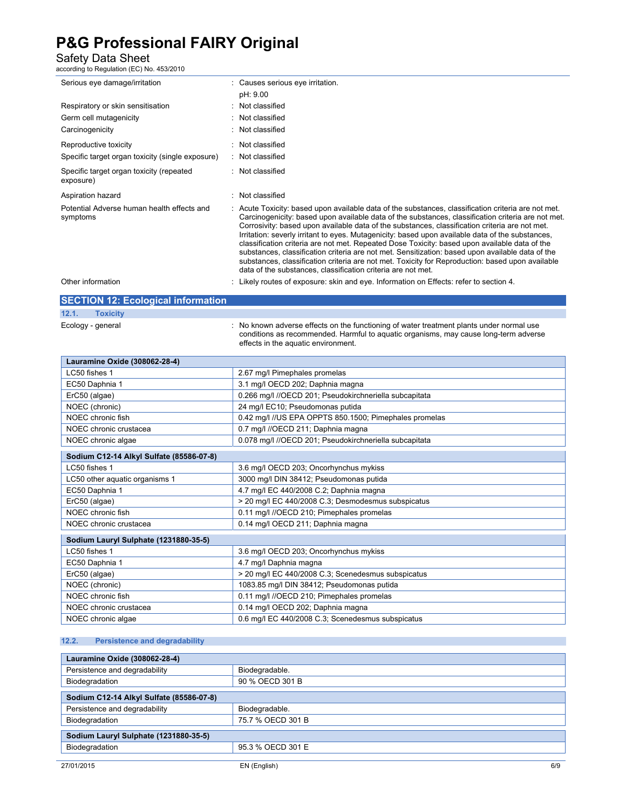## Safety Data Sheet<br>according to Regulation (EC) No. 453/2010

| Serious eye damage/irritation                          | : Causes serious eye irritation.                                                                                                                                                                                                                                                                                                                                                                                                                                                                                                                                                                                                                                                                                                                                                         |
|--------------------------------------------------------|------------------------------------------------------------------------------------------------------------------------------------------------------------------------------------------------------------------------------------------------------------------------------------------------------------------------------------------------------------------------------------------------------------------------------------------------------------------------------------------------------------------------------------------------------------------------------------------------------------------------------------------------------------------------------------------------------------------------------------------------------------------------------------------|
|                                                        | pH: 9.00                                                                                                                                                                                                                                                                                                                                                                                                                                                                                                                                                                                                                                                                                                                                                                                 |
| Respiratory or skin sensitisation                      | : Not classified                                                                                                                                                                                                                                                                                                                                                                                                                                                                                                                                                                                                                                                                                                                                                                         |
| Germ cell mutagenicity                                 | Not classified                                                                                                                                                                                                                                                                                                                                                                                                                                                                                                                                                                                                                                                                                                                                                                           |
| Carcinogenicity                                        | Not classified                                                                                                                                                                                                                                                                                                                                                                                                                                                                                                                                                                                                                                                                                                                                                                           |
| Reproductive toxicity                                  | : Not classified                                                                                                                                                                                                                                                                                                                                                                                                                                                                                                                                                                                                                                                                                                                                                                         |
| Specific target organ toxicity (single exposure)       | : Not classified                                                                                                                                                                                                                                                                                                                                                                                                                                                                                                                                                                                                                                                                                                                                                                         |
| Specific target organ toxicity (repeated<br>exposure)  | : Not classified                                                                                                                                                                                                                                                                                                                                                                                                                                                                                                                                                                                                                                                                                                                                                                         |
| Aspiration hazard                                      | Not classified                                                                                                                                                                                                                                                                                                                                                                                                                                                                                                                                                                                                                                                                                                                                                                           |
| Potential Adverse human health effects and<br>symptoms | : Acute Toxicity: based upon available data of the substances, classification criteria are not met.<br>Carcinogenicity: based upon available data of the substances, classification criteria are not met.<br>Corrosivity: based upon available data of the substances, classification criteria are not met.<br>Irritation: severly irritant to eyes. Mutagenicity: based upon available data of the substances,<br>classification criteria are not met. Repeated Dose Toxicity: based upon available data of the<br>substances, classification criteria are not met. Sensitization: based upon available data of the<br>substances, classification criteria are not met. Toxicity for Reproduction: based upon available<br>data of the substances, classification criteria are not met. |
| Other information                                      | Likely routes of exposure: skin and eye. Information on Effects: refer to section 4.                                                                                                                                                                                                                                                                                                                                                                                                                                                                                                                                                                                                                                                                                                     |

#### **SECTION 12: Ecological information**

| 12.1. | <b>Toxicity</b>   |                                                                                                                                                                                                                       |
|-------|-------------------|-----------------------------------------------------------------------------------------------------------------------------------------------------------------------------------------------------------------------|
|       | Ecology - general | No known adverse effects on the functioning of water treatment plants under normal use<br>conditions as recommended. Harmful to aquatic organisms, may cause long-term adverse<br>effects in the aquatic environment. |

| Lauramine Oxide (308062-28-4)            |                                                        |  |
|------------------------------------------|--------------------------------------------------------|--|
| LC50 fishes 1                            | 2.67 mg/l Pimephales promelas                          |  |
| EC50 Daphnia 1                           | 3.1 mg/l OECD 202; Daphnia magna                       |  |
| ErC50 (algae)                            | 0.266 mg/l //OECD 201; Pseudokirchneriella subcapitata |  |
| NOEC (chronic)                           | 24 mg/l EC10; Pseudomonas putida                       |  |
| NOEC chronic fish                        | 0.42 mg/l //US EPA OPPTS 850.1500; Pimephales promelas |  |
| NOEC chronic crustacea                   | 0.7 mg/l //OECD 211; Daphnia magna                     |  |
| NOEC chronic algae                       | 0.078 mg/l //OECD 201; Pseudokirchneriella subcapitata |  |
| Sodium C12-14 Alkyl Sulfate (85586-07-8) |                                                        |  |
| LC50 fishes 1                            | 3.6 mg/l OECD 203; Oncorhynchus mykiss                 |  |
| LC50 other aquatic organisms 1           | 3000 mg/l DIN 38412; Pseudomonas putida                |  |
| EC50 Daphnia 1                           | 4.7 mg/l EC 440/2008 C.2; Daphnia magna                |  |
| ErC50 (algae)                            | > 20 mg/l EC 440/2008 C.3; Desmodesmus subspicatus     |  |
| NOEC chronic fish                        | 0.11 mg/l //OECD 210; Pimephales promelas              |  |
| NOEC chronic crustacea                   | 0.14 mg/l OECD 211; Daphnia magna                      |  |
| Sodium Lauryl Sulphate (1231880-35-5)    |                                                        |  |
| LC50 fishes 1                            | 3.6 mg/l OECD 203; Oncorhynchus mykiss                 |  |
| EC50 Daphnia 1                           | 4.7 mg/l Daphnia magna                                 |  |
| ErC50 (algae)                            | > 20 mg/l EC 440/2008 C.3; Scenedesmus subspicatus     |  |
| NOEC (chronic)                           | 1083.85 mg/l DIN 38412; Pseudomonas putida             |  |
| NOEC chronic fish                        | 0.11 mg/l //OECD 210; Pimephales promelas              |  |
| NOEC chronic crustacea                   | 0.14 mg/l OECD 202; Daphnia magna                      |  |
| NOEC chronic algae                       | 0.6 mg/l EC 440/2008 C.3; Scenedesmus subspicatus      |  |

#### **12.2. Persistence and degradability**

| Lauramine Oxide (308062-28-4)            |                   |  |
|------------------------------------------|-------------------|--|
| Persistence and degradability            | Biodegradable.    |  |
| Biodegradation                           | 90 % OECD 301 B   |  |
| Sodium C12-14 Alkyl Sulfate (85586-07-8) |                   |  |
| Persistence and degradability            | Biodegradable.    |  |
| Biodegradation                           | 75.7 % OECD 301 B |  |
| Sodium Lauryl Sulphate (1231880-35-5)    |                   |  |
| Biodegradation                           | 95.3 % OECD 301 E |  |
|                                          |                   |  |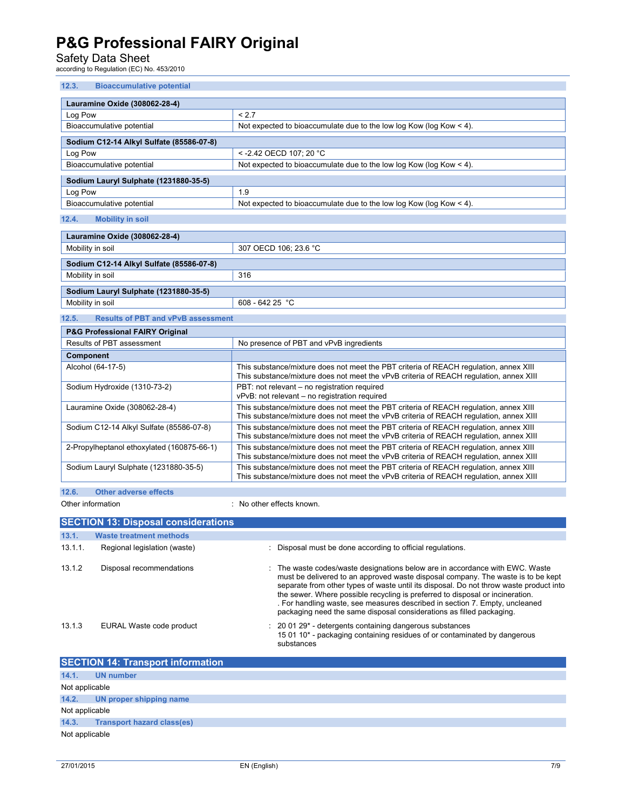Safety Data Sheet<br>according to Regulation (EC) No. 453/2010

| 12.3.<br><b>Bioaccumulative potential</b>          |                                                                                                                                                                                 |  |  |  |  |
|----------------------------------------------------|---------------------------------------------------------------------------------------------------------------------------------------------------------------------------------|--|--|--|--|
| Lauramine Oxide (308062-28-4)                      |                                                                                                                                                                                 |  |  |  |  |
| Log Pow                                            | < 2.7                                                                                                                                                                           |  |  |  |  |
| Bioaccumulative potential                          | Not expected to bioaccumulate due to the low log Kow (log Kow < 4).                                                                                                             |  |  |  |  |
| Sodium C12-14 Alkyl Sulfate (85586-07-8)           |                                                                                                                                                                                 |  |  |  |  |
| Log Pow                                            | < - 2.42 OECD 107; 20 °C                                                                                                                                                        |  |  |  |  |
| Bioaccumulative potential                          | Not expected to bioaccumulate due to the low log Kow (log Kow $<$ 4).                                                                                                           |  |  |  |  |
| Sodium Lauryl Sulphate (1231880-35-5)              |                                                                                                                                                                                 |  |  |  |  |
| Log Pow                                            | 1.9                                                                                                                                                                             |  |  |  |  |
| Bioaccumulative potential                          | Not expected to bioaccumulate due to the low log Kow (log Kow $<$ 4).                                                                                                           |  |  |  |  |
| 12.4.<br><b>Mobility in soil</b>                   |                                                                                                                                                                                 |  |  |  |  |
| Lauramine Oxide (308062-28-4)                      |                                                                                                                                                                                 |  |  |  |  |
| Mobility in soil                                   | 307 OECD 106; 23.6 °C                                                                                                                                                           |  |  |  |  |
| Sodium C12-14 Alkyl Sulfate (85586-07-8)           |                                                                                                                                                                                 |  |  |  |  |
| Mobility in soil                                   | 316                                                                                                                                                                             |  |  |  |  |
| Sodium Lauryl Sulphate (1231880-35-5)              |                                                                                                                                                                                 |  |  |  |  |
| Mobility in soil                                   | 608 - 642 25 $^{\circ}$ C                                                                                                                                                       |  |  |  |  |
| 12.5.<br><b>Results of PBT and vPvB assessment</b> |                                                                                                                                                                                 |  |  |  |  |
| <b>P&amp;G Professional FAIRY Original</b>         |                                                                                                                                                                                 |  |  |  |  |
| Results of PBT assessment                          | No presence of PBT and vPvB ingredients                                                                                                                                         |  |  |  |  |
| Component                                          |                                                                                                                                                                                 |  |  |  |  |
| Alcohol (64-17-5)                                  | This substance/mixture does not meet the PBT criteria of REACH requlation, annex XIII<br>This substance/mixture does not meet the vPvB criteria of REACH regulation, annex XIII |  |  |  |  |
| Sodium Hydroxide (1310-73-2)                       | PBT: not relevant - no registration required<br>vPvB: not relevant - no registration required                                                                                   |  |  |  |  |
| Lauramine Oxide (308062-28-4)                      | This substance/mixture does not meet the PBT criteria of REACH regulation, annex XIII<br>This substance/mixture does not meet the vPvB criteria of REACH regulation, annex XIII |  |  |  |  |
| Sodium C12-14 Alkyl Sulfate (85586-07-8)           | This substance/mixture does not meet the PBT criteria of REACH regulation, annex XIII<br>This substance/mixture does not meet the vPvB criteria of REACH regulation, annex XIII |  |  |  |  |
| 2-Propylheptanol ethoxylated (160875-66-1)         | This substance/mixture does not meet the PBT criteria of REACH requlation, annex XIII<br>This substance/mixture does not meet the vPvB criteria of REACH regulation, annex XIII |  |  |  |  |
| Sodium Lauryl Sulphate (1231880-35-5)              | This substance/mixture does not meet the PBT criteria of REACH requlation, annex XIII<br>This substance/mixture does not meet the vPvB criteria of REACH regulation, annex XIII |  |  |  |  |
| 12.6.<br><b>Other adverse effects</b>              |                                                                                                                                                                                 |  |  |  |  |

Other information  $\qquad \qquad$ : No other effects known.

|         | <b>SECTION 13: Disposal considerations</b> |                                                                                                                                                                                                                                                                                                                                                                                                                                                                                                    |  |  |  |  |  |  |
|---------|--------------------------------------------|----------------------------------------------------------------------------------------------------------------------------------------------------------------------------------------------------------------------------------------------------------------------------------------------------------------------------------------------------------------------------------------------------------------------------------------------------------------------------------------------------|--|--|--|--|--|--|
| 13.1.   | Waste treatment methods                    |                                                                                                                                                                                                                                                                                                                                                                                                                                                                                                    |  |  |  |  |  |  |
| 13.1.1. | Regional legislation (waste)               | : Disposal must be done according to official regulations.                                                                                                                                                                                                                                                                                                                                                                                                                                         |  |  |  |  |  |  |
| 13.1.2  | Disposal recommendations                   | : The waste codes/waste designations below are in accordance with EWC. Waste<br>must be delivered to an approved waste disposal company. The waste is to be kept<br>separate from other types of waste until its disposal. Do not throw waste product into<br>the sewer. Where possible recycling is preferred to disposal or incineration.<br>. For handling waste, see measures described in section 7. Empty, uncleaned<br>packaging need the same disposal considerations as filled packaging. |  |  |  |  |  |  |
| 13.1.3  | EURAL Waste code product                   | $: 200129$ - detergents containing dangerous substances<br>15 01 10* - packaging containing residues of or contaminated by dangerous<br>substances                                                                                                                                                                                                                                                                                                                                                 |  |  |  |  |  |  |

|                | <b>SECTION 14: Transport information</b> |  |  |  |
|----------------|------------------------------------------|--|--|--|
| 14.1.          | <b>UN</b> number                         |  |  |  |
| Not applicable |                                          |  |  |  |
| 14.2.          | UN proper shipping name                  |  |  |  |
| Not applicable |                                          |  |  |  |
| 14.3.          | <b>Transport hazard class(es)</b>        |  |  |  |
| Not applicable |                                          |  |  |  |
|                |                                          |  |  |  |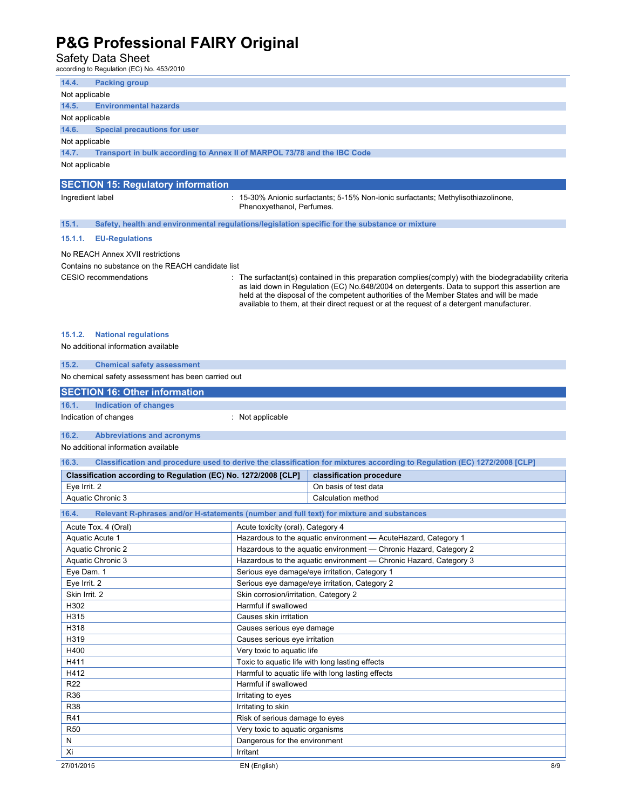### Safety Data Sheet<br>according to Regulation (EC) No. 453/2010

| 14.4.<br><b>Packing group</b>                                                     |                                          |                                                                                                                                                                                                                                                                                                                                                                                               |
|-----------------------------------------------------------------------------------|------------------------------------------|-----------------------------------------------------------------------------------------------------------------------------------------------------------------------------------------------------------------------------------------------------------------------------------------------------------------------------------------------------------------------------------------------|
| Not applicable                                                                    |                                          |                                                                                                                                                                                                                                                                                                                                                                                               |
| 14.5.<br><b>Environmental hazards</b>                                             |                                          |                                                                                                                                                                                                                                                                                                                                                                                               |
| Not applicable                                                                    |                                          |                                                                                                                                                                                                                                                                                                                                                                                               |
| 14.6.<br><b>Special precautions for user</b>                                      |                                          |                                                                                                                                                                                                                                                                                                                                                                                               |
| Not applicable                                                                    |                                          |                                                                                                                                                                                                                                                                                                                                                                                               |
| 14.7.<br>Transport in bulk according to Annex II of MARPOL 73/78 and the IBC Code |                                          |                                                                                                                                                                                                                                                                                                                                                                                               |
| Not applicable                                                                    |                                          |                                                                                                                                                                                                                                                                                                                                                                                               |
|                                                                                   |                                          |                                                                                                                                                                                                                                                                                                                                                                                               |
| <b>SECTION 15: Regulatory information</b>                                         |                                          |                                                                                                                                                                                                                                                                                                                                                                                               |
| Ingredient label                                                                  | Phenoxvethanol. Perfumes.                | 15-30% Anionic surfactants; 5-15% Non-ionic surfactants; Methylisothiazolinone,                                                                                                                                                                                                                                                                                                               |
| 15.1.                                                                             |                                          | Safety, health and environmental regulations/legislation specific for the substance or mixture                                                                                                                                                                                                                                                                                                |
| <b>EU-Regulations</b><br>15.1.1.                                                  |                                          |                                                                                                                                                                                                                                                                                                                                                                                               |
| No REACH Annex XVII restrictions                                                  |                                          |                                                                                                                                                                                                                                                                                                                                                                                               |
| Contains no substance on the REACH candidate list                                 |                                          |                                                                                                                                                                                                                                                                                                                                                                                               |
| CESIO recommendations                                                             |                                          | The surfactant(s) contained in this preparation complies (comply) with the biodegradability criteria<br>as laid down in Regulation (EC) No.648/2004 on detergents. Data to support this assertion are<br>held at the disposal of the competent authorities of the Member States and will be made<br>available to them, at their direct request or at the request of a detergent manufacturer. |
| 15.1.2.<br><b>National regulations</b><br>No additional information available     |                                          |                                                                                                                                                                                                                                                                                                                                                                                               |
| 15.2.<br><b>Chemical safety assessment</b>                                        |                                          |                                                                                                                                                                                                                                                                                                                                                                                               |
| No chemical safety assessment has been carried out                                |                                          |                                                                                                                                                                                                                                                                                                                                                                                               |
|                                                                                   |                                          |                                                                                                                                                                                                                                                                                                                                                                                               |
| <b>SECTION 16: Other information</b>                                              |                                          |                                                                                                                                                                                                                                                                                                                                                                                               |
| 16.1.<br><b>Indication of changes</b>                                             |                                          |                                                                                                                                                                                                                                                                                                                                                                                               |
| Indication of changes                                                             | : Not applicable                         |                                                                                                                                                                                                                                                                                                                                                                                               |
| 16.2.<br><b>Abbreviations and acronyms</b>                                        |                                          |                                                                                                                                                                                                                                                                                                                                                                                               |
| No additional information available                                               |                                          |                                                                                                                                                                                                                                                                                                                                                                                               |
|                                                                                   |                                          |                                                                                                                                                                                                                                                                                                                                                                                               |
| 16.3.                                                                             |                                          | Classification and procedure used to derive the classification for mixtures according to Regulation (EC) 1272/2008 [CLP]                                                                                                                                                                                                                                                                      |
| Classification according to Regulation (EC) No. 1272/2008 [CLP]                   |                                          | classification procedure                                                                                                                                                                                                                                                                                                                                                                      |
|                                                                                   |                                          |                                                                                                                                                                                                                                                                                                                                                                                               |
| Eye Irrit. 2                                                                      |                                          | On basis of test data                                                                                                                                                                                                                                                                                                                                                                         |
| Aquatic Chronic 3                                                                 |                                          | Calculation method                                                                                                                                                                                                                                                                                                                                                                            |
| 16.4.                                                                             |                                          | Relevant R-phrases and/or H-statements (number and full text) for mixture and substances                                                                                                                                                                                                                                                                                                      |
| Acute Tox. 4 (Oral)                                                               | Acute toxicity (oral), Category 4        |                                                                                                                                                                                                                                                                                                                                                                                               |
| Aquatic Acute 1                                                                   |                                          | Hazardous to the aquatic environment - AcuteHazard, Category 1                                                                                                                                                                                                                                                                                                                                |
| Aquatic Chronic 2                                                                 |                                          | Hazardous to the aquatic environment - Chronic Hazard, Category 2                                                                                                                                                                                                                                                                                                                             |
| Aquatic Chronic 3                                                                 |                                          | Hazardous to the aquatic environment - Chronic Hazard, Category 3                                                                                                                                                                                                                                                                                                                             |
| Eye Dam. 1                                                                        |                                          | Serious eye damage/eye irritation, Category 1                                                                                                                                                                                                                                                                                                                                                 |
| Eye Irrit. 2                                                                      |                                          | Serious eye damage/eye irritation, Category 2                                                                                                                                                                                                                                                                                                                                                 |
| Skin Irrit. 2                                                                     | Skin corrosion/irritation, Category 2    |                                                                                                                                                                                                                                                                                                                                                                                               |
| H302                                                                              | Harmful if swallowed                     |                                                                                                                                                                                                                                                                                                                                                                                               |
| H315                                                                              | Causes skin irritation                   |                                                                                                                                                                                                                                                                                                                                                                                               |
| H318                                                                              | Causes serious eye damage                |                                                                                                                                                                                                                                                                                                                                                                                               |
| H319                                                                              | Causes serious eye irritation            |                                                                                                                                                                                                                                                                                                                                                                                               |
| H400                                                                              | Very toxic to aquatic life               |                                                                                                                                                                                                                                                                                                                                                                                               |
| H411                                                                              |                                          | Toxic to aquatic life with long lasting effects                                                                                                                                                                                                                                                                                                                                               |
| H412                                                                              |                                          | Harmful to aquatic life with long lasting effects                                                                                                                                                                                                                                                                                                                                             |
| R <sub>22</sub>                                                                   | Harmful if swallowed                     |                                                                                                                                                                                                                                                                                                                                                                                               |
| R36<br><b>R38</b>                                                                 | Irritating to eyes<br>Irritating to skin |                                                                                                                                                                                                                                                                                                                                                                                               |
| R41                                                                               | Risk of serious damage to eyes           |                                                                                                                                                                                                                                                                                                                                                                                               |
| <b>R50</b>                                                                        | Very toxic to aquatic organisms          |                                                                                                                                                                                                                                                                                                                                                                                               |
| ${\sf N}$                                                                         | Dangerous for the environment            |                                                                                                                                                                                                                                                                                                                                                                                               |